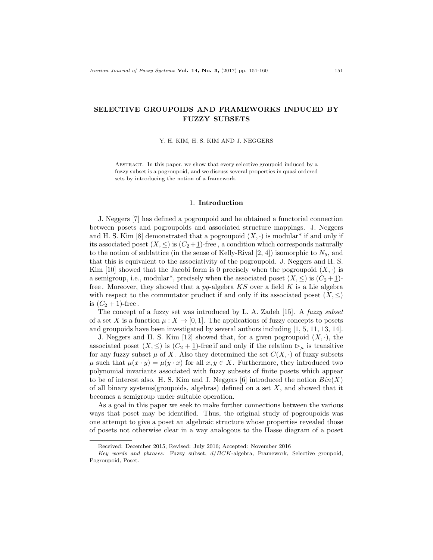# SELECTIVE GROUPOIDS AND FRAMEWORKS INDUCED BY FUZZY SUBSETS

Y. H. KIM, H. S. KIM AND J. NEGGERS

ABSTRACT. In this paper, we show that every selective groupoid induced by a fuzzy subset is a pogroupoid, and we discuss several properties in quasi ordered sets by introducing the notion of a framework.

#### 1. Introduction

J. Neggers [7] has defined a pogroupoid and he obtained a functorial connection between posets and pogroupoids and associated structure mappings. J. Neggers and H. S. Kim [8] demonstrated that a pogroupoid  $(X, \cdot)$  is modular<sup>\*</sup> if and only if its associated poset  $(X, \leq)$  is  $(C_2 + 1)$ -free, a condition which corresponds naturally to the notion of sublattice (in the sense of Kelly-Rival [2, 4]) isomorphic to  $N_5$ , and that this is equivalent to the associativity of the pogroupoid. J. Neggers and H. S. Kim [10] showed that the Jacobi form is 0 precisely when the pogroupoid  $(X, \cdot)$  is a semigroup, i.e., modular<sup>\*</sup>, precisely when the associated poset  $(X, \leq)$  is  $(C_2 + 1)$ free. Moreover, they showed that a  $pq$ -algebra  $KS$  over a field K is a Lie algebra with respect to the commutator product if and only if its associated poset  $(X, \leq)$ is  $(C_2 + 1)$ -free.

The concept of a fuzzy set was introduced by L. A. Zadeh [15]. A *fuzzy subset* of a set X is a function  $\mu: X \to [0,1]$ . The applications of fuzzy concepts to posets and groupoids have been investigated by several authors including [1, 5, 11, 13, 14].

J. Neggers and H. S. Kim [12] showed that, for a given pogroupoid  $(X, \cdot)$ , the associated poset  $(X, \leq)$  is  $(C_2 + 1)$ -free if and only if the relation  $\triangleright_{\mu}$  is transitive for any fuzzy subset  $\mu$  of X. Also they determined the set  $C(X, \cdot)$  of fuzzy subsets  $\mu$  such that  $\mu(x \cdot y) = \mu(y \cdot x)$  for all  $x, y \in X$ . Furthermore, they introduced two polynomial invariants associated with fuzzy subsets of finite posets which appear to be of interest also. H. S. Kim and J. Neggers [6] introduced the notion  $Bin(X)$ of all binary systems(groupoids, algebras) defined on a set  $X$ , and showed that it becomes a semigroup under suitable operation.

As a goal in this paper we seek to make further connections between the various ways that poset may be identified. Thus, the original study of pogroupoids was one attempt to give a poset an algebraic structure whose properties revealed those of posets not otherwise clear in a way analogous to the Hasse diagram of a poset

Received: December 2015; Revised: July 2016; Accepted: November 2016

Key words and phrases: Fuzzy subset, d/BCK-algebra, Framework, Selective groupoid, Pogroupoid, Poset.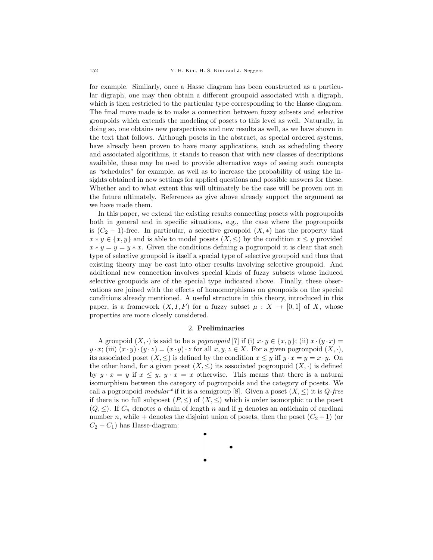for example. Similarly, once a Hasse diagram has been constructed as a particular digraph, one may then obtain a different groupoid associated with a digraph, which is then restricted to the particular type corresponding to the Hasse diagram. The final move made is to make a connection between fuzzy subsets and selective groupoids which extends the modeling of posets to this level as well. Naturally, in doing so, one obtains new perspectives and new results as well, as we have shown in the text that follows. Although posets in the abstract, as special ordered systems, have already been proven to have many applications, such as scheduling theory and associated algorithms, it stands to reason that with new classes of descriptions available, these may be used to provide alternative ways of seeing such concepts as "schedules" for example, as well as to increase the probability of using the insights obtained in new settings for applied questions and possible answers for these. Whether and to what extent this will ultimately be the case will be proven out in the future ultimately. References as give above already support the argument as we have made them.

In this paper, we extend the existing results connecting posets with pogroupoids both in general and in specific situations, e.g., the case where the pogroupoids is  $(C_2 + 1)$ -free. In particular, a selective groupoid  $(X, *)$  has the property that  $x * y \in \{x, y\}$  and is able to model posets  $(X, \leq)$  by the condition  $x \leq y$  provided  $x * y = y = y * x$ . Given the conditions defining a pogroupoid it is clear that such type of selective groupoid is itself a special type of selective groupoid and thus that existing theory may be cast into other results involving selective groupoid. And additional new connection involves special kinds of fuzzy subsets whose induced selective groupoids are of the special type indicated above. Finally, these observations are joined with the effects of homomorphisms on groupoids on the special conditions already mentioned. A useful structure in this theory, introduced in this paper, is a framework  $(X, I, F)$  for a fuzzy subset  $\mu : X \to [0, 1]$  of X, whose properties are more closely considered.

# 2. Preliminaries

A groupoid  $(X, \cdot)$  is said to be a *pogroupoid* [7] if (i)  $x \cdot y \in \{x, y\}$ ; (ii)  $x \cdot (y \cdot x) =$  $y \cdot x$ ; (iii)  $(x \cdot y) \cdot (y \cdot z) = (x \cdot y) \cdot z$  for all  $x, y, z \in X$ . For a given pogroupoid  $(X, \cdot),$ its associated poset  $(X, \leq)$  is defined by the condition  $x \leq y$  iff  $y \cdot x = y = x \cdot y$ . On the other hand, for a given poset  $(X, \leq)$  its associated pogroupoid  $(X, \cdot)$  is defined by  $y \cdot x = y$  if  $x \le y$ ,  $y \cdot x = x$  otherwise. This means that there is a natural isomorphism between the category of pogroupoids and the category of posets. We call a pogroupoid modular<sup>\*</sup> if it is a semigroup [8]. Given a poset  $(X, \leq)$  it is  $Q$ -free if there is no full subposet  $(P, \leq)$  of  $(X, \leq)$  which is order isomorphic to the poset  $(Q, \leq)$ . If  $C_n$  denotes a chain of length n and if  $n$  denotes an antichain of cardinal number n, while + denotes the disjoint union of posets, then the poset  $(C_2 + 1)$  (or  $C_2 + C_1$ ) has Hasse-diagram:

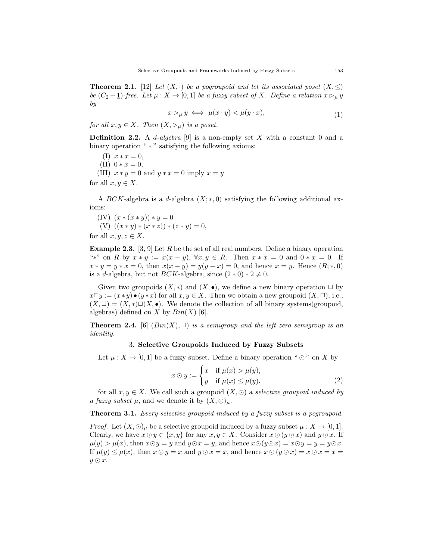**Theorem 2.1.** [12] Let  $(X, \cdot)$  be a pogroupoid and let its associated poset  $(X, \leq)$ be  $(C_2 + 1)$ -free. Let  $\mu : X \to [0, 1]$  be a fuzzy subset of X. Define a relation  $x \rhd_{\mu} y$ by

$$
x \triangleright_{\mu} y \iff \mu(x \cdot y) < \mu(y \cdot x), \tag{1}
$$

for all  $x, y \in X$ . Then  $(X, \rhd_\mu)$  is a poset.

**Definition 2.2.** A *d*-algebra [9] is a non-empty set X with a constant 0 and a binary operation " \* " satisfying the following axioms:

(I)  $x * x = 0$ , (II)  $0 * x = 0$ , (III)  $x * y = 0$  and  $y * x = 0$  imply  $x = y$ for all  $x, y \in X$ .

A BCK-algebra is a d-algebra  $(X;*,0)$  satisfying the following additional ax-

ioms:

(IV)  $(x * (x * y)) * y = 0$ (V)  $((x * y) * (x * z)) * (z * y) = 0,$ 

for all  $x, y, z \in X$ .

**Example 2.3.** [3, 9] Let R be the set of all real numbers. Define a binary operation "\*" on R by  $x * y := x(x - y)$ ,  $\forall x, y \in R$ . Then  $x * x = 0$  and  $0 * x = 0$ . If  $x * y = y * x = 0$ , then  $x(x - y) = y(y - x) = 0$ , and hence  $x = y$ . Hence  $(R;*,0)$ is a d-algebra, but not BCK-algebra, since  $(2 \times 0) \times 2 \neq 0$ .

Given two groupoids  $(X, *)$  and  $(X, \bullet)$ , we define a new binary operation  $\Box$  by  $x\Box y := (x * y) \bullet (y * x)$  for all  $x, y \in X$ . Then we obtain a new groupoid  $(X, \Box)$ , i.e.,  $(X, \Box) = (X, *)\Box(X, \bullet)$ . We denote the collection of all binary systems(groupoid, algebras) defined on X by  $Bin(X)$  [6].

**Theorem 2.4.** [6]  $(Bin(X), \Box)$  is a semigroup and the left zero semigroup is an identity.

### 3. Selective Groupoids Induced by Fuzzy Subsets

Let  $\mu: X \to [0,1]$  be a fuzzy subset. Define a binary operation " $\odot$ " on X by

$$
x \odot y := \begin{cases} x & \text{if } \mu(x) > \mu(y), \\ y & \text{if } \mu(x) \le \mu(y). \end{cases}
$$
 (2)

for all  $x, y \in X$ . We call such a groupoid  $(X, \odot)$  a selective groupoid induced by a fuzzy subset  $\mu$ , and we denote it by  $(X, \odot)_{\mu}$ .

Theorem 3.1. Every selective groupoid induced by a fuzzy subset is a pogroupoid.

*Proof.* Let  $(X, \odot)_\mu$  be a selective groupoid induced by a fuzzy subset  $\mu : X \to [0, 1]$ . Clearly, we have  $x \odot y \in \{x, y\}$  for any  $x, y \in X$ . Consider  $x \odot (y \odot x)$  and  $y \odot x$ . If  $\mu(y) > \mu(x)$ , then  $x \odot y = y$  and  $y \odot x = y$ , and hence  $x \odot (y \odot x) = x \odot y = y = y \odot x$ . If  $\mu(y) \leq \mu(x)$ , then  $x \odot y = x$  and  $y \odot x = x$ , and hence  $x \odot (y \odot x) = x \odot x = x =$  $y \odot x$ .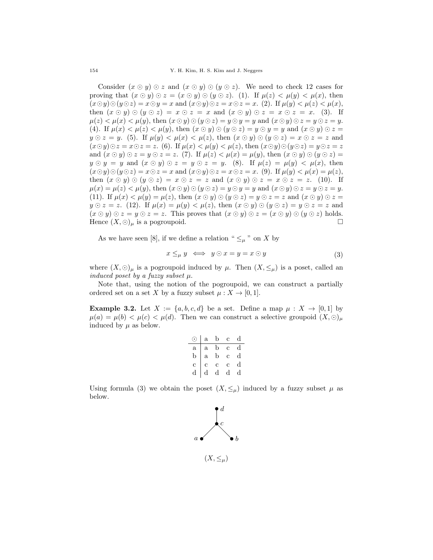154 Y. H. Kim, H. S. Kim and J. Neggers

Consider  $(x \odot y) \odot z$  and  $(x \odot y) \odot (y \odot z)$ . We need to check 12 cases for proving that  $(x \odot y) \odot z = (x \odot y) \odot (y \odot z)$ . (1). If  $\mu(z) < \mu(y) < \mu(x)$ , then  $(x \odot y) \odot (y \odot z) = x \odot y = x$  and  $(x \odot y) \odot z = x \odot z = x$ . (2). If  $\mu(y) < \mu(z) < \mu(x)$ , then  $(x \odot y) \odot (y \odot z) = x \odot z = x$  and  $(x \odot y) \odot z = x \odot z = x$ . (3). If  $\mu(z) < \mu(x) < \mu(y)$ , then  $(x \odot y) \odot (y \odot z) = y \odot y = y$  and  $(x \odot y) \odot z = y \odot z = y$ . (4). If  $\mu(x) < \mu(z) < \mu(y)$ , then  $(x \odot y) \odot (y \odot z) = y \odot y = y$  and  $(x \odot y) \odot z = y$  $y \odot z = y$ . (5). If  $\mu(y) < \mu(x) < \mu(z)$ , then  $(x \odot y) \odot (y \odot z) = x \odot z = z$  and  $(x \odot y) \odot z = x \odot z = z$ . (6). If  $\mu(x) < \mu(y) < \mu(z)$ , then  $(x \odot y) \odot (y \odot z) = y \odot z = z$ and  $(x \odot y) \odot z = y \odot z = z$ . (7). If  $\mu(z) < \mu(x) = \mu(y)$ , then  $(x \odot y) \odot (y \odot z) =$  $y \odot y = y$  and  $(x \odot y) \odot z = y \odot z = y$ . (8). If  $\mu(z) = \mu(y) < \mu(x)$ , then  $(x \odot y) \odot (y \odot z) = x \odot z = x$  and  $(x \odot y) \odot z = x \odot z = x$ . (9). If  $\mu(y) < \mu(x) = \mu(z)$ , then  $(x \odot y) \odot (y \odot z) = x \odot z = z$  and  $(x \odot y) \odot z = x \odot z = z$ . (10). If  $\mu(x) = \mu(z) < \mu(y)$ , then  $(x \odot y) \odot (y \odot z) = y \odot y = y$  and  $(x \odot y) \odot z = y \odot z = y$ . (11). If  $\mu(x) < \mu(y) = \mu(z)$ , then  $(x \odot y) \odot (y \odot z) = y \odot z = z$  and  $(x \odot y) \odot z = z$  $y \odot z = z$ . (12). If  $\mu(x) = \mu(y) < \mu(z)$ , then  $(x \odot y) \odot (y \odot z) = y \odot z = z$  and  $(x \odot y) \odot z = y \odot z = z$ . This proves that  $(x \odot y) \odot z = (x \odot y) \odot (y \odot z)$  holds. Hence  $(X, \odot)_{\mu}$  is a pogroupoid.

As we have seen [8], if we define a relation "  $\leq_{\mu}$ " on X by

$$
x \leq_{\mu} y \iff y \odot x = y = x \odot y \tag{3}
$$

where  $(X, \odot)_{\mu}$  is a pogroupoid induced by  $\mu$ . Then  $(X, \leq_{\mu})$  is a poset, called an induced poset by a fuzzy subset  $\mu$ .

Note that, using the notion of the pogroupoid, we can construct a partially ordered set on a set X by a fuzzy subset  $\mu: X \to [0, 1]$ .

**Example 3.2.** Let  $X := \{a, b, c, d\}$  be a set. Define a map  $\mu : X \to [0, 1]$  by  $\mu(a) = \mu(b) < \mu(c) < \mu(d)$ . Then we can construct a selective groupoid  $(X, \odot)_{\mu}$ induced by  $\mu$  as below.

|              | $\mathbf{a}$ | b           | $\mathbf{c}$   | đ |
|--------------|--------------|-------------|----------------|---|
| $\mathbf{a}$ | $\mathbf{a}$ | b           | Ċ              | đ |
| b            | $\mathbf{a}$ | b           | $\mathbf c$    | d |
| Ċ            | Ċ            | $\mathbf c$ | $\overline{c}$ | d |
|              | d            | d           | d              |   |

Using formula (3) we obtain the poset  $(X, \leq_{\mu})$  induced by a fuzzy subset  $\mu$  as below.

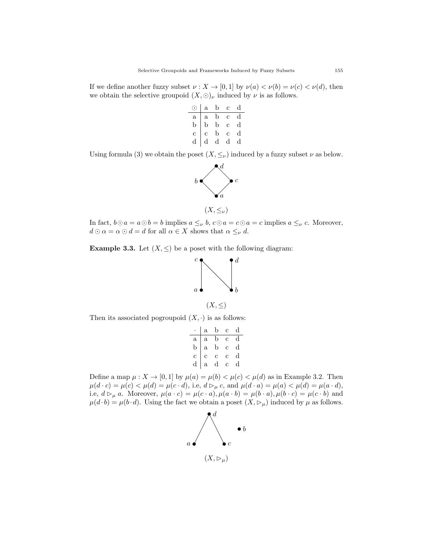If we define another fuzzy subset  $\nu : X \to [0,1]$  by  $\nu(a) < \nu(b) = \nu(c) < \nu(d)$ , then we obtain the selective groupoid  $(X, \odot)_{\nu}$  induced by  $\nu$  is as follows.

| 7              | $\mathbf{a}$ | b | Ċ.             | d           |
|----------------|--------------|---|----------------|-------------|
| a              | $\mathbf{a}$ | b | $\mathbf{c}$   | a           |
| b              | b            | b | $\overline{c}$ | $\mathbf d$ |
| $\overline{c}$ | Ċ            | b | $\mathbf c$    | d           |
| d              | d            | d | d              |             |

Using formula (3) we obtain the poset  $(X, \leq_{\nu})$  induced by a fuzzy subset  $\nu$  as below.



In fact,  $b \odot a = a \odot b = b$  implies  $a \leq_{\nu} b$ ,  $c \odot a = c \odot a = c$  implies  $a \leq_{\nu} c$ . Moreover,  $d \odot \alpha = \alpha \odot d = d$  for all  $\alpha \in X$  shows that  $\alpha \leq_{\nu} d$ .

**Example 3.3.** Let  $(X, \leq)$  be a poset with the following diagram:



Then its associated pogroupoid  $(X, \cdot)$  is as follows:

|                | $\mathbf{a}$ | b           | Ċ | d           |
|----------------|--------------|-------------|---|-------------|
| $\mathbf{a}$   | a            | b           | Ċ | $\mathbf d$ |
| $\mathbf b$    | $\mathbf{a}$ | b           | Ċ | $_{\rm d}$  |
| $\overline{c}$ | Ċ            | Ċ           | C | $_{\rm d}$  |
| d              | $\mathbf{a}$ | $\mathbf d$ | Ć | d           |

Define a map  $\mu: X \to [0,1]$  by  $\mu(a) = \mu(b) < \mu(c) < \mu(d)$  as in Example 3.2. Then  $\mu(d \cdot c) = \mu(c) < \mu(d) = \mu(c \cdot d)$ , i.e,  $d \rhd_{\mu} c$ , and  $\mu(d \cdot a) = \mu(a) < \mu(d) = \mu(a \cdot d)$ , i.e,  $d \rhd_{\mu} a$ . Moreover,  $\mu(a \cdot c) = \mu(c \cdot a)$ ,  $\mu(a \cdot b) = \mu(b \cdot a)$ ,  $\mu(b \cdot c) = \mu(c \cdot b)$  and  $\mu(d \cdot b) = \mu(b \cdot d)$ . Using the fact we obtain a poset  $(X, \rhd_\mu)$  induced by  $\mu$  as follows.

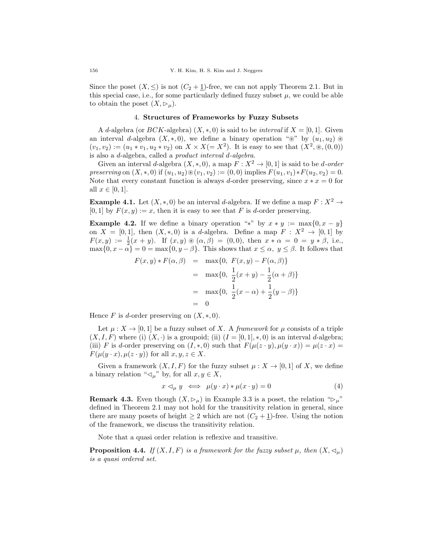Since the poset  $(X, \leq)$  is not  $(C_2 + 1)$ -free, we can not apply Theorem 2.1. But in this special case, i.e., for some particularly defined fuzzy subset  $\mu$ , we could be able to obtain the poset  $(X, \rhd_{\mu}).$ 

### 4. Structures of Frameworks by Fuzzy Subsets

A d-algebra (or  $BCK$ -algebra)  $(X, * , 0)$  is said to be *interval* if  $X = [0, 1]$ . Given an interval d-algebra  $(X, *, 0)$ , we define a binary operation " $\mathcal{F}$ " by  $(u_1, u_2) \mathcal{F}$  $(v_1, v_2) := (u_1 * v_1, u_2 * v_2)$  on  $X \times X (= X^2)$ . It is easy to see that  $(X^2, \mathcal{D}, (0, 0))$ is also a d-algebra, called a product interval d-algebra.

Given an interval d-algebra  $(X, \ast, 0)$ , a map  $F: X^2 \to [0, 1]$  is said to be d-order preserving on  $(X, \ast, 0)$  if  $(u_1, u_2) \otimes (v_1, v_2) := (0, 0)$  implies  $F(u_1, v_1) * F(u_2, v_2) = 0$ . Note that every constant function is always d-order preserving, since  $x * x = 0$  for all  $x \in [0, 1]$ .

**Example 4.1.** Let  $(X, *, 0)$  be an interval d-algebra. If we define a map  $F : X^2 \to$  $[0, 1]$  by  $F(x, y) := x$ , then it is easy to see that F is d-order preserving.

**Example 4.2.** If we define a binary operation "\*" by  $x * y := max\{0, x - y\}$ on  $X = [0, 1]$ , then  $(X, *, 0)$  is a d-algebra. Define a map  $F : X^2 \to [0, 1]$  by  $F(x,y) := \frac{1}{2}(x+y)$ . If  $(x,y) \otimes (\alpha, \beta) = (0,0)$ , then  $x * \alpha = 0 = y * \beta$ , i.e.,  $\max\{0, x - \alpha\} = 0 = \max\{0, y - \beta\}.$  This shows that  $x \leq \alpha, y \leq \beta$ . It follows that

$$
F(x, y) * F(\alpha, \beta) = \max\{0, F(x, y) - F(\alpha, \beta)\}\
$$
  
= 
$$
\max\{0, \frac{1}{2}(x + y) - \frac{1}{2}(\alpha + \beta)\}\
$$
  
= 
$$
\max\{0, \frac{1}{2}(x - \alpha) + \frac{1}{2}(y - \beta)\}\
$$
  
= 0

Hence F is d-order preserving on  $(X, \ast, 0)$ .

Let  $\mu: X \to [0,1]$  be a fuzzy subset of X. A framework for  $\mu$  consists of a triple  $(X, I, F)$  where (i)  $(X, \cdot)$  is a groupoid; (ii)  $(I = [0, 1], *, 0)$  is an interval d-algebra; (iii) F is d-order preserving on  $(I, *, 0)$  such that  $F(\mu(z \cdot y), \mu(y \cdot x)) = \mu(z \cdot x) =$  $F(\mu(y \cdot x), \mu(z \cdot y))$  for all  $x, y, z \in X$ .

Given a framework  $(X, I, F)$  for the fuzzy subset  $\mu : X \to [0, 1]$  of X, we define a binary relation " $\triangleleft_{\mu}$ " by, for all  $x, y \in X$ ,

$$
x \triangleleft_{\mu} y \iff \mu(y \cdot x) * \mu(x \cdot y) = 0 \tag{4}
$$

**Remark 4.3.** Even though  $(X, \rhd_\mu)$  in Example 3.3 is a poset, the relation " $\rhd_\mu$ " defined in Theorem 2.1 may not hold for the transitivity relation in general, since there are many posets of height  $\geq 2$  which are not  $(C_2 + 1)$ -free. Using the notion of the framework, we discuss the transitivity relation.

Note that a quasi order relation is reflexive and transitive.

**Proposition 4.4.** If  $(X, I, F)$  is a framework for the fuzzy subset  $\mu$ , then  $(X, \triangleleft_{\mu})$ is a quasi ordered set.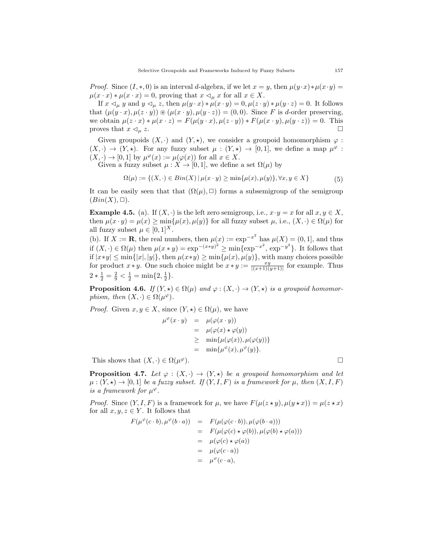*Proof.* Since  $(I, *, 0)$  is an interval d-algebra, if we let  $x = y$ , then  $\mu(y \cdot x) * \mu(x \cdot y) =$  $\mu(x \cdot x) * \mu(x \cdot x) = 0$ , proving that  $x \leq_{\mu} x$  for all  $x \in X$ .

If  $x \triangleleft_{\mu} y$  and  $y \triangleleft_{\mu} z$ , then  $\mu(y \cdot x) * \mu(x \cdot y) = 0$ ,  $\mu(z \cdot y) * \mu(y \cdot z) = 0$ . It follows that  $(\mu(y \cdot x), \mu(z \cdot y)) \otimes (\mu(x \cdot y), \mu(y \cdot z)) = (0, 0)$ . Since F is d-order preserving, we obtain  $\mu(z \cdot x) * \mu(x \cdot z) = F(\mu(y \cdot x), \mu(z \cdot y)) * F(\mu(x \cdot y), \mu(y \cdot z)) = 0$ . This proves that  $x \lhd_{\mu} z$ .

Given groupoids  $(X, \cdot)$  and  $(Y, \star)$ , we consider a groupoid homomorphism  $\varphi$ :  $(X, \cdot) \to (Y, \star)$ . For any fuzzy subset  $\mu : (Y, \star) \to [0, 1]$ , we define a map  $\mu^{\varphi}$ :  $(X, \cdot) \to [0, 1]$  by  $\mu^{\varphi}(x) := \mu(\varphi(x))$  for all  $x \in X$ .

Given a fuzzy subset  $\mu : X \to [0, 1]$ , we define a set  $\Omega(\mu)$  by

$$
\Omega(\mu) := \{(X, \cdot) \in Bin(X) \mid \mu(x \cdot y) \ge \min\{\mu(x), \mu(y)\}, \forall x, y \in X\}
$$
(5)

It can be easily seen that that  $(\Omega(\mu), \Box)$  forms a subsemigroup of the semigroup  $(Bin(X), \Box).$ 

**Example 4.5.** (a). If  $(X, \cdot)$  is the left zero semigroup, i.e.,  $x \cdot y = x$  for all  $x, y \in X$ , then  $\mu(x \cdot y) = \mu(x) \ge \min\{\mu(x), \mu(y)\}\$ for all fuzzy subset  $\mu$ , i.e.,  $(X, \cdot) \in \Omega(\mu)$  for all fuzzy subset  $\mu \in [0, 1]^X$ .

(b). If  $X := \mathbf{R}$ , the real numbers, then  $\mu(x) := \exp^{-x^2}$  has  $\mu(X) = (0, 1]$ , and thus if  $(X, \cdot) \in \Omega(\mu)$  then  $\mu(x * y) = \exp^{-(x * y)^2} \ge \min\{\exp^{-x^2}, \exp^{-y^2}\}.$  It follows that if  $|x*y| \leq \min\{|x|, |y|\}$ , then  $\mu(x*y) \geq \min\{\mu(x), \mu(y)\}$ , with many choices possible for product  $x * y$ . One such choice might be  $x * y := \frac{xy}{|(x+1)(y+1)|}$  for example. Thus  $2 * \frac{1}{2} = \frac{2}{9} < \frac{1}{2} = \min\{2, \frac{1}{2}\}.$ 

**Proposition 4.6.** If  $(Y, \star) \in \Omega(\mu)$  and  $\varphi : (X, \cdot) \to (Y, \star)$  is a groupoid homomorphism, then  $(X, \cdot) \in \Omega(\mu^{\varphi})$ .

*Proof.* Given  $x, y \in X$ , since  $(Y, \star) \in \Omega(\mu)$ , we have  $\mu^{\varphi}$ 

$$
(x \cdot y) = \mu(\varphi(x \cdot y))
$$
  
=  $\mu(\varphi(x) \star \varphi(y))$   
 $\geq \min{\mu(\varphi(x)), \mu(\varphi(y))}$   
=  $\min{\mu^{\varphi}(x), \mu^{\varphi}(y)}$ .

This shows that  $(X, \cdot) \in \Omega(\mu^{\varphi})$ .  $\varphi$ ).

**Proposition 4.7.** Let  $\varphi : (X, \cdot) \to (Y, \star)$  be a groupoid homomorphism and let  $\mu: (Y, \star) \to [0, 1]$  be a fuzzy subset. If  $(Y, I, F)$  is a framework for  $\mu$ , then  $(X, I, F)$ is a framework for  $\mu^{\varphi}$ .

*Proof.* Since  $(Y, I, F)$  is a framework for  $\mu$ , we have  $F(\mu(z \star y), \mu(y \star x)) = \mu(z \star x)$ for all  $x, y, z \in Y$ . It follows that

$$
F(\mu^{\varphi}(c \cdot b), \mu^{\varphi}(b \cdot a)) = F(\mu(\varphi(c \cdot b)), \mu(\varphi(b \cdot a)))
$$
  
\n
$$
= F(\mu(\varphi(c) \star \varphi(b)), \mu(\varphi(b) \star \varphi(a)))
$$
  
\n
$$
= \mu(\varphi(c) \star \varphi(a))
$$
  
\n
$$
= \mu(\varphi(c \cdot a))
$$
  
\n
$$
= \mu^{\varphi}(c \cdot a),
$$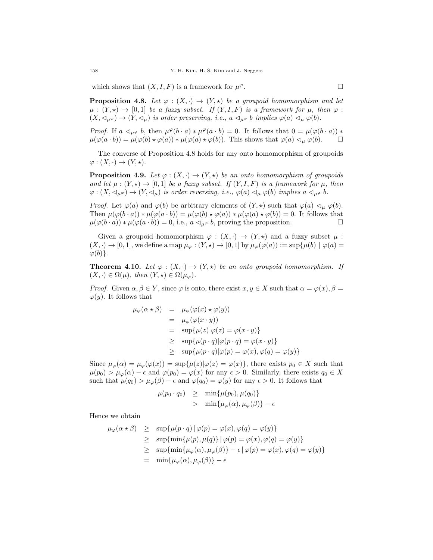which shows that  $(X, I, F)$  is a framework for  $\mu^{\varphi}$ .  $\varphi$ .

**Proposition 4.8.** Let  $\varphi : (X, \cdot) \to (Y, \star)$  be a groupoid homomorphism and let  $\mu : (Y, \star) \to [0, 1]$  be a fuzzy subset. If  $(Y, I, F)$  is a framework for  $\mu$ , then  $\varphi$ :  $(X, \lhd_{\mu} \varphi) \to (Y, \lhd_{\mu})$  is order preserving, i.e.,  $a \lhd_{\mu} \varphi b$  implies  $\varphi(a) \lhd_{\mu} \varphi(b)$ .

*Proof.* If  $a \triangleleft_{\mu^\varphi} b$ , then  $\mu^\varphi(b \cdot a) * \mu^\varphi(a \cdot b) = 0$ . It follows that  $0 = \mu(\varphi(b \cdot a)) *$  $\mu(\varphi(a \cdot b)) = \mu(\varphi(b) \star \varphi(a)) \star \mu(\varphi(a) \star \varphi(b)).$  This shows that  $\varphi(a) \lhd_{\mu} \varphi(b).$   $\Box$ 

The converse of Proposition 4.8 holds for any onto homomorphism of groupoids  $\varphi: (X, \cdot) \to (Y, \star).$ 

**Proposition 4.9.** Let  $\varphi : (X, \cdot) \to (Y, \star)$  be an onto homomorphism of groupoids and let  $\mu : (Y, \star) \to [0, 1]$  be a fuzzy subset. If  $(Y, I, F)$  is a framework for  $\mu$ , then  $\varphi: (X, \lhd_{\mu} \varphi) \to (Y, \lhd_{\mu})$  is order reversing, i.e.,  $\varphi(a) \lhd_{\mu} \varphi(b)$  implies  $a \lhd_{\mu} \varphi b$ .

*Proof.* Let  $\varphi(a)$  and  $\varphi(b)$  be arbitrary elements of  $(Y, \star)$  such that  $\varphi(a) \vartriangleleft_{\mu} \varphi(b)$ . Then  $\mu(\varphi(b \cdot a)) * \mu(\varphi(a \cdot b)) = \mu(\varphi(b) * \varphi(a)) * \mu(\varphi(a) * \varphi(b)) = 0$ . It follows that  $\mu(\varphi(b \cdot a)) * \mu(\varphi(a \cdot b)) = 0$ , i.e.,  $a \triangleleft_{\mu \varphi} b$ , proving the proposition.

Given a groupoid homomorphism  $\varphi : (X, \cdot) \to (Y, \star)$  and a fuzzy subset  $\mu$ :  $(X, \cdot) \to [0, 1],$  we define a map  $\mu_{\varphi} : (Y, \star) \to [0, 1]$  by  $\mu_{\varphi}(\varphi(a)) := \sup \{ \mu(b) \mid \varphi(a) = 0 \}$  $\varphi(b)\}.$ 

**Theorem 4.10.** Let  $\varphi : (X, \cdot) \to (Y, \star)$  be an onto groupoid homomorphism. If  $(X, \cdot) \in \Omega(\mu)$ , then  $(Y, \star) \in \Omega(\mu_{\varphi})$ .

*Proof.* Given  $\alpha, \beta \in Y$ , since  $\varphi$  is onto, there exist  $x, y \in X$  such that  $\alpha = \varphi(x), \beta =$  $\varphi(y)$ . It follows that

$$
\mu_{\varphi}(\alpha \star \beta) = \mu_{\varphi}(\varphi(x) \star \varphi(y))
$$
  
=  $\mu_{\varphi}(\varphi(x \cdot y))$   
=  $\sup{\{\mu(z)|\varphi(z) = \varphi(x \cdot y)\}}$   
 $\geq \sup{\{\mu(p \cdot q)|\varphi(p \cdot q) = \varphi(x \cdot y)\}}$   
 $\geq \sup{\{\mu(p \cdot q)|\varphi(p) = \varphi(x), \varphi(q) = \varphi(y)\}}$ 

Since  $\mu_{\varphi}(\alpha) = \mu_{\varphi}(\varphi(x)) = \sup \{\mu(z)|\varphi(z) = \varphi(x)\}\,$ , there exists  $p_0 \in X$  such that  $\mu(p_0) > \mu_\varphi(\alpha) - \epsilon$  and  $\varphi(p_0) = \varphi(x)$  for any  $\epsilon > 0$ . Similarly, there exists  $q_0 \in X$ such that  $\mu(q_0) > \mu_\varphi(\beta) - \epsilon$  and  $\varphi(q_0) = \varphi(y)$  for any  $\epsilon > 0$ . It follows that

$$
\mu(p_0 \cdot q_0) \geq \min\{\mu(p_0), \mu(q_0)\}\
$$
  
> 
$$
\min\{\mu_\varphi(\alpha), \mu_\varphi(\beta)\} - \epsilon
$$

Hence we obtain

$$
\mu_{\varphi}(\alpha \star \beta) \geq \sup \{ \mu(p \cdot q) \mid \varphi(p) = \varphi(x), \varphi(q) = \varphi(y) \}
$$
  
\n
$$
\geq \sup \{ \min \{ \mu(p), \mu(q) \} \mid \varphi(p) = \varphi(x), \varphi(q) = \varphi(y) \}
$$
  
\n
$$
\geq \sup \{ \min \{ \mu_{\varphi}(\alpha), \mu_{\varphi}(\beta) \} - \epsilon \mid \varphi(p) = \varphi(x), \varphi(q) = \varphi(y) \}
$$
  
\n
$$
= \min \{ \mu_{\varphi}(\alpha), \mu_{\varphi}(\beta) \} - \epsilon
$$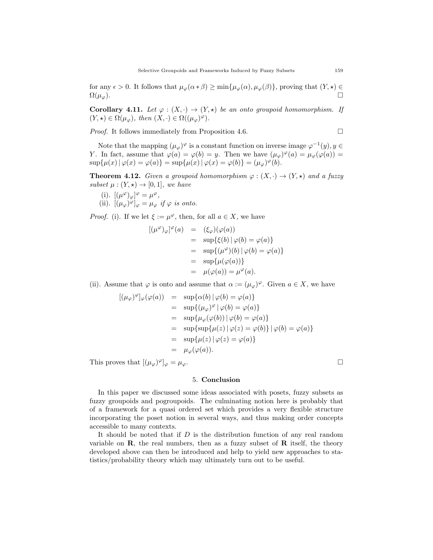for any  $\epsilon > 0$ . It follows that  $\mu_{\varphi}(\alpha * \beta) \ge \min{\mu_{\varphi}(\alpha), \mu_{\varphi}(\beta)}$ , proving that  $(Y, \star) \in$  $\Omega(\mu_{\varphi})$ .

**Corollary 4.11.** Let  $\varphi : (X, \cdot) \to (Y, \star)$  be an onto groupoid homomorphism. If  $(Y, \star) \in \Omega(\mu_{\varphi}), \text{ then } (X, \cdot) \in \Omega((\mu_{\varphi})^{\varphi}).$ 

*Proof.* It follows immediately from Proposition 4.6.  $\Box$ 

Note that the mapping  $(\mu_{\varphi})^{\varphi}$  is a constant function on inverse image  $\varphi^{-1}(y), y \in$ Y. In fact, assume that  $\varphi(a) = \varphi(b) = y$ . Then we have  $(\mu_{\varphi})^{\varphi}(a) = \mu_{\varphi}(\varphi(a)) =$  $\sup{\{\mu(x) | \varphi(x) = \varphi(a)\}} = \sup{\{\mu(x) | \varphi(x) = \varphi(b)\}} = (\mu_{\varphi})^{\varphi}(b).$ 

**Theorem 4.12.** Given a groupoid homomorphism  $\varphi : (X, \cdot) \to (Y, \star)$  and a fuzzy subset  $\mu : (Y, \star) \to [0, 1]$ , we have

(i).  $[(\mu^{\varphi})_{\varphi}]^{\varphi} = \mu^{\varphi},$ (ii).  $[(\mu_{\varphi})^{\varphi}]_{\varphi} = \mu_{\varphi}$  if  $\varphi$  is onto.

*Proof.* (i). If we let  $\xi := \mu^{\varphi}$ , then, for all  $a \in X$ , we have

$$
[(\mu^{\varphi})_{\varphi}]^{\varphi}(a) = (\xi_{\varphi})(\varphi(a))
$$
  
\n
$$
= \sup{\{\xi(b) | \varphi(b) = \varphi(a)\}}
$$
  
\n
$$
= \sup{\{(\mu^{\varphi})(b) | \varphi(b) = \varphi(a)\}}
$$
  
\n
$$
= \sup{\{\mu(\varphi(a))\}}
$$
  
\n
$$
= \mu(\varphi(a)) = \mu^{\varphi}(a).
$$

(ii). Assume that  $\varphi$  is onto and assume that  $\alpha := (\mu_{\varphi})^{\varphi}$ . Given  $a \in X$ , we have

$$
[(\mu_{\varphi})^{\varphi}]_{\varphi}(\varphi(a)) = \sup \{\alpha(b) | \varphi(b) = \varphi(a)\}
$$
  
\n
$$
= \sup \{(\mu_{\varphi})^{\varphi} | \varphi(b) = \varphi(a)\}
$$
  
\n
$$
= \sup \{\mu_{\varphi}(\varphi(b)) | \varphi(b) = \varphi(a)\}
$$
  
\n
$$
= \sup \{\sup \{\mu(z) | \varphi(z) = \varphi(b)\} | \varphi(b) = \varphi(a)\}
$$
  
\n
$$
= \sup \{\mu(z) | \varphi(z) = \varphi(a)\}
$$
  
\n
$$
= \mu_{\varphi}(\varphi(a)).
$$

This proves that  $[(\mu_{\varphi})^{\varphi}]_{\varphi} = \mu_{\varphi}$ .

# 5. Conclusion

In this paper we discussed some ideas associated with posets, fuzzy subsets as fuzzy groupoids and pogroupoids. The culminating notion here is probably that of a framework for a quasi ordered set which provides a very flexible structure incorporating the poset notion in several ways, and thus making order concepts accessible to many contexts.

It should be noted that if  $D$  is the distribution function of any real random variable on  $\mathbf{R}$ , the real numbers, then as a fuzzy subset of  $\mathbf{R}$  itself, the theory developed above can then be introduced and help to yield new approaches to statistics/probability theory which may ultimately turn out to be useful.